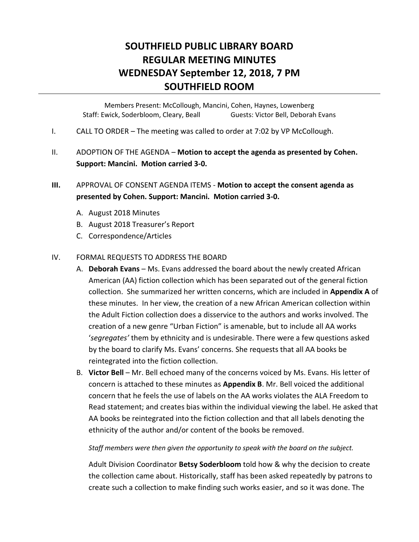# **SOUTHFIELD PUBLIC LIBRARY BOARD REGULAR MEETING MINUTES WEDNESDAY September 12, 2018, 7 PM SOUTHFIELD ROOM**

Members Present: McCollough, Mancini, Cohen, Haynes, Lowenberg Staff: Ewick, Soderbloom, Cleary, Beall Guests: Victor Bell, Deborah Evans

- I. CALL TO ORDER The meeting was called to order at 7:02 by VP McCollough.
- II. ADOPTION OF THE AGENDA **Motion to accept the agenda as presented by Cohen. Support: Mancini. Motion carried 3-0.**

# **III.** APPROVAL OF CONSENT AGENDA ITEMS - **Motion to accept the consent agenda as presented by Cohen. Support: Mancini. Motion carried 3-0.**

- A. August 2018 Minutes
- B. August 2018 Treasurer's Report
- C. Correspondence/Articles

#### IV. FORMAL REQUESTS TO ADDRESS THE BOARD

- A. **Deborah Evans** Ms. Evans addressed the board about the newly created African American (AA) fiction collection which has been separated out of the general fiction collection. She summarized her written concerns, which are included in **Appendix A** of these minutes. In her view, the creation of a new African American collection within the Adult Fiction collection does a disservice to the authors and works involved. The creation of a new genre "Urban Fiction" is amenable, but to include all AA works '*segregates'* them by ethnicity and is undesirable. There were a few questions asked by the board to clarify Ms. Evans' concerns. She requests that all AA books be reintegrated into the fiction collection.
- B. **Victor Bell** Mr. Bell echoed many of the concerns voiced by Ms. Evans. His letter of concern is attached to these minutes as **Appendix B**. Mr. Bell voiced the additional concern that he feels the use of labels on the AA works violates the ALA Freedom to Read statement; and creates bias within the individual viewing the label. He asked that AA books be reintegrated into the fiction collection and that all labels denoting the ethnicity of the author and/or content of the books be removed.

#### *Staff members were then given the opportunity to speak with the board on the subject.*

Adult Division Coordinator **Betsy Soderbloom** told how & why the decision to create the collection came about. Historically, staff has been asked repeatedly by patrons to create such a collection to make finding such works easier, and so it was done. The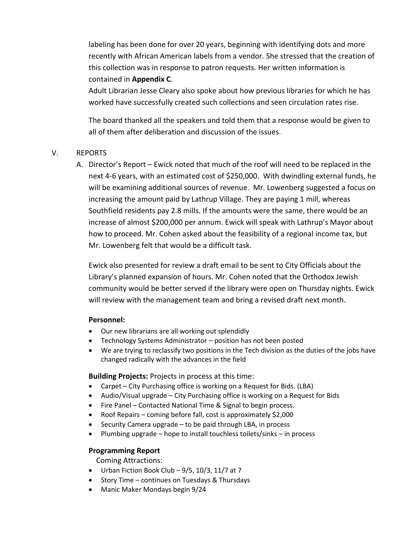labeling has been done for over 20 years, beginning with identifying dots and more recently with African American labels from a vendor. She stressed that the creation of this collection was in response to patron requests. Her written information is contained in **Appendix C**.

Adult Librarian Jesse Cleary also spoke about how previous libraries for which he has worked have successfully created such collections and seen circulation rates rise.

The board thanked all the speakers and told them that a response would be given to all of them after deliberation and discussion of the issues.

## V. REPORTS

A. Director's Report – Ewick noted that much of the roof will need to be replaced in the next 4-6 years, with an estimated cost of \$250,000. With dwindling external funds, he will be examining additional sources of revenue. Mr. Lowenberg suggested a focus on increasing the amount paid by Lathrup Village. They are paying 1 mill, whereas Southfield residents pay 2.8 mills. If the amounts were the same, there would be an increase of almost \$200,000 per annum. Ewick will speak with Lathrup's Mayor about how to proceed. Mr. Cohen asked about the feasibility of a regional income tax, but Mr. Lowenberg felt that would be a difficult task.

Ewick also presented for review a draft email to be sent to City Officials about the Library's planned expansion of hours. Mr. Cohen noted that the Orthodox Jewish community would be better served if the library were open on Thursday nights. Ewick will review with the management team and bring a revised draft next month.

#### **Personnel:**

- Our new librarians are all working out splendidly
- Technology Systems Administrator position has not been posted
- We are trying to reclassify two positions in the Tech division as the duties of the jobs have changed radically with the advances in the field

**Building Projects:** Projects in process at this time:

- Carpet City Purchasing office is working on a Request for Bids. (LBA)
- Audio/Visual upgrade City Purchasing office is working on a Request for Bids
- Fire Panel Contacted National Time & Signal to begin process.
- Roof Repairs coming before fall, cost is approximately \$2,000
- Security Camera upgrade to be paid through LBA, in process
- Plumbing upgrade hope to install touchless toilets/sinks in process

#### **Programming Report**

Coming Attractions:

- $\bullet$  Urban Fiction Book Club 9/5, 10/3, 11/7 at 7
- Story Time continues on Tuesdays & Thursdays
- Manic Maker Mondays begin 9/24